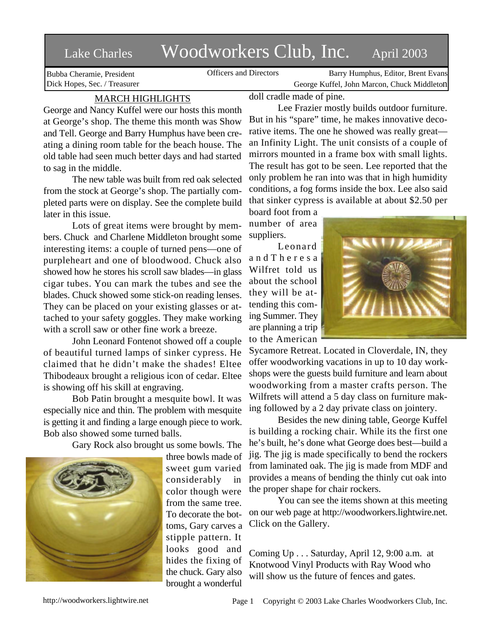## Lake Charles Woodworkers Club, Inc. April 2003

Bubba Cheramie, President Dick Hopes, Sec. / Treasurer

Officers and Directors Barry Humphus, Editor, Brent Evans George Kuffel, John Marcon, Chuck Middleton

## MARCH HIGHLIGHTS

George and Nancy Kuffel were our hosts this month at George's shop. The theme this month was Show and Tell. George and Barry Humphus have been creating a dining room table for the beach house. The old table had seen much better days and had started to sag in the middle.

The new table was built from red oak selected from the stock at George's shop. The partially completed parts were on display. See the complete build later in this issue.

Lots of great items were brought by members. Chuck and Charlene Middleton brought some interesting items: a couple of turned pens—one of purpleheart and one of bloodwood. Chuck also showed how he stores his scroll saw blades—in glass cigar tubes. You can mark the tubes and see the blades. Chuck showed some stick-on reading lenses. They can be placed on your existing glasses or attached to your safety goggles. They make working with a scroll saw or other fine work a breeze.

John Leonard Fontenot showed off a couple of beautiful turned lamps of sinker cypress. He claimed that he didn't make the shades! Eltee Thibodeaux brought a religious icon of cedar. Eltee is showing off his skill at engraving.

Bob Patin brought a mesquite bowl. It was especially nice and thin. The problem with mesquite is getting it and finding a large enough piece to work. Bob also showed some turned balls.

Gary Rock also brought us some bowls. The



three bowls made of sweet gum varied considerably in color though were from the same tree. To decorate the bottoms, Gary carves a stipple pattern. It looks good and hides the fixing of the chuck. Gary also brought a wonderful

doll cradle made of pine.

Lee Frazier mostly builds outdoor furniture. But in his "spare" time, he makes innovative decorative items. The one he showed was really great an Infinity Light. The unit consists of a couple of mirrors mounted in a frame box with small lights. The result has got to be seen. Lee reported that the only problem he ran into was that in high humidity conditions, a fog forms inside the box. Lee also said that sinker cypress is available at about \$2.50 per

board foot from a number of area suppliers.

Leonard a n d T h e r e s a Wilfret told us about the school they will be attending this coming Summer. They are planning a trip to the American



Sycamore Retreat. Located in Cloverdale, IN, they offer woodworking vacations in up to 10 day workshops were the guests build furniture and learn about woodworking from a master crafts person. The Wilfrets will attend a 5 day class on furniture making followed by a 2 day private class on jointery.

Besides the new dining table, George Kuffel is building a rocking chair. While its the first one he's built, he's done what George does best—build a jig. The jig is made specifically to bend the rockers from laminated oak. The jig is made from MDF and provides a means of bending the thinly cut oak into the proper shape for chair rockers.

You can see the items shown at this meeting on our web page at http://woodworkers.lightwire.net. Click on the Gallery.

Coming Up . . . Saturday, April 12, 9:00 a.m. at Knotwood Vinyl Products with Ray Wood who will show us the future of fences and gates.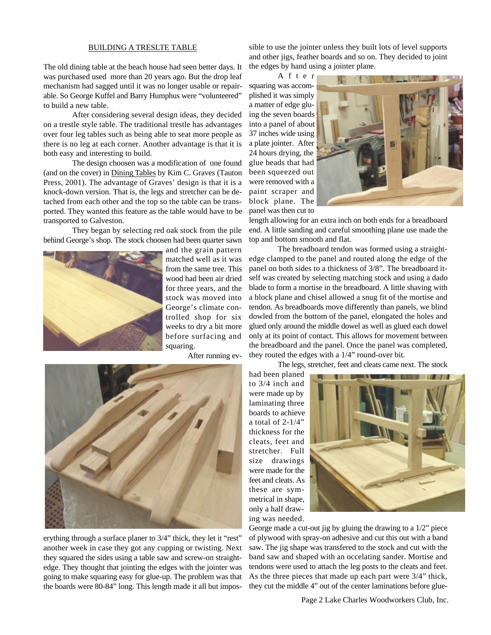## BUILDING A TRESLTE TABLE

The old dining table at the beach house had seen better days. It was purchased used more than 20 years ago. But the drop leaf mechanism had sagged until it was no longer usable or repairable. So George Kuffel and Barry Humphus were "volunteered" to build a new table.

After considering several design ideas, they decided on a trestle style table. The traditional trestle has advantages over four leg tables such as being able to seat more people as there is no leg at each corner. Another advantage is that it is both easy and interesting to build.

The design choosen was a modification of one found (and on the cover) in Dining Tables by Kim C. Graves (Tauton Press, 2001). The advantage of Graves' design is that it is a knock-down version. That is, the legs and stretcher can be detached from each other and the top so the table can be transported. They wanted this feature as the table would have to be transported to Galveston.

They began by selecting red oak stock from the pile behind George's shop. The stock choosen had been quarter sawn



and the grain pattern matched well as it was from the same tree. This wood had been air dried for three years, and the stock was moved into George's climate controlled shop for six weeks to dry a bit more before surfacing and squaring.

After running ev-



erything through a surface planer to 3/4" thick, they let it "rest" another week in case they got any cupping or twisting. Next they squared the sides using a table saw and screw-on straightedge. They thought that jointing the edges with the jointer was going to make squaring easy for glue-up. The problem was that the boards were 80-84" long. This length made it all but impossible to use the jointer unless they built lots of level supports and other jigs, feather boards and so on. They decided to joint the edges by hand using a jointer plane.

A f t e r squaring was accomplished it was simply a matter of edge gluing the seven boards into a panel of about 37 inches wide using a plate jointer. After 24 hours drying, the glue beads that had been squeezed out were removed with a paint scraper and block plane. The panel was then cut to



length allowing for an extra inch on both ends for a breadboard end. A little sanding and careful smoothing plane use made the top and bottom smooth and flat.

The breadboard tendon was formed using a straightedge clamped to the panel and routed along the edge of the panel on both sides to a thickness of 3/8". The breadboard itself was created by selecting matching stock and using a dado blade to form a mortise in the breadboard. A little shaving with a block plane and chisel allowed a snug fit of the mortise and tendon. As breadboards move differently than panels, we blind dowled from the bottom of the panel, elongated the holes and glued only around the middle dowel as well as glued each dowel only at its point of contact. This allows for movement between the breadboard and the panel. Once the panel was completed, they routed the edges with a 1/4" round-over bit.

The legs, stretcher, feet and cleats came next. The stock

had been planed to 3/4 inch and were made up by laminating three boards to achieve a total of  $2-1/4$ " thickness for the cleats, feet and stretcher. Full size drawings were made for the feet and cleats. As these are symmetrical in shape, only a half drawing was needed.



George made a cut-out jig by gluing the drawing to a 1/2" piece of plywood with spray-on adhesive and cut this out with a band saw. The jig shape was transfered to the stock and cut with the band saw and shaped with an occelating sander. Mortise and tendons were used to attach the leg posts to the cleats and feet. As the three pieces that made up each part were 3/4" thick, they cut the middle 4" out of the center laminations before glue